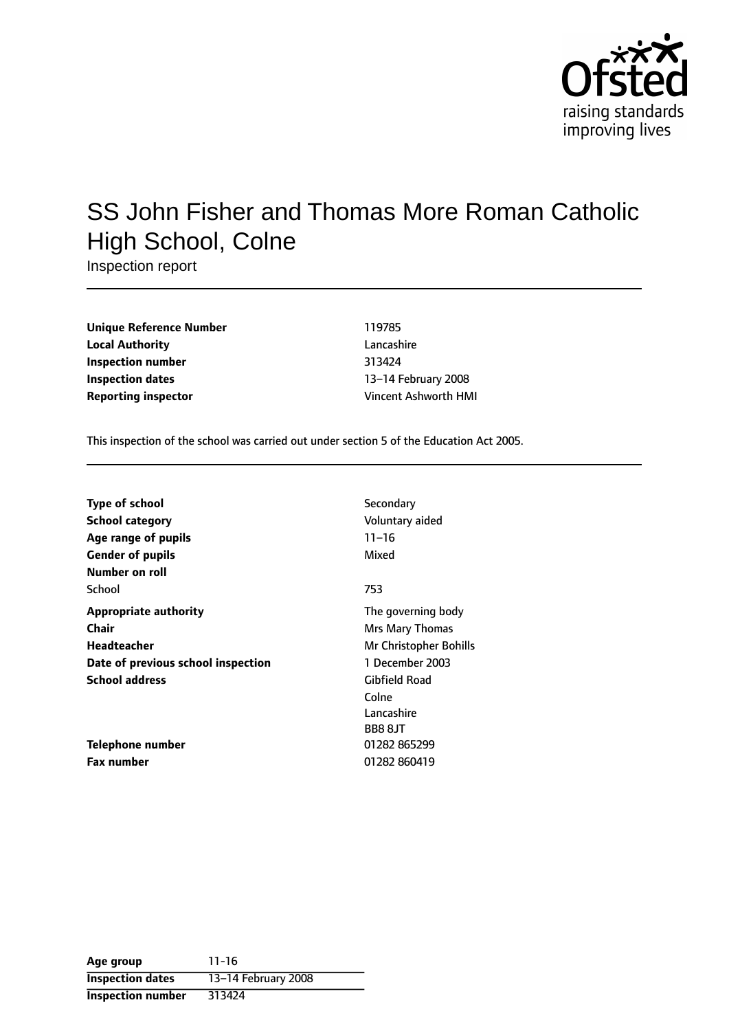

# SS John Fisher and Thomas More Roman Catholic High School, Colne

Inspection report

| <b>Unique Reference Number</b> |
|--------------------------------|
| <b>Local Authority</b>         |
| Inspection number              |
| <b>Inspection dates</b>        |
| Reporting inspector            |

**Unique Reference Number** 119785 **Lancashire Inspection number** 313424 **13-14 February 2008 Reporting inspector** Vincent Ashworth HMI

This inspection of the school was carried out under section 5 of the Education Act 2005.

| <b>Type of school</b>              | Secondary              |
|------------------------------------|------------------------|
| <b>School category</b>             | Voluntary aided        |
| Age range of pupils                | $11 - 16$              |
| <b>Gender of pupils</b>            | Mixed                  |
| Number on roll                     |                        |
| School                             | 753                    |
| <b>Appropriate authority</b>       | The governing body     |
| Chair                              | Mrs Mary Thomas        |
| Headteacher                        | Mr Christopher Bohills |
| Date of previous school inspection | 1 December 2003        |
| <b>School address</b>              | Gibfield Road          |
|                                    | Colne                  |
|                                    | Lancashire             |
|                                    | BB8 8JT                |
| Telephone number                   | 01282 865299           |
| Fax number                         | 01282 860419           |

| Age group                | $11 - 16$           |
|--------------------------|---------------------|
| <b>Inspection dates</b>  | 13-14 February 2008 |
| <b>Inspection number</b> | 313424              |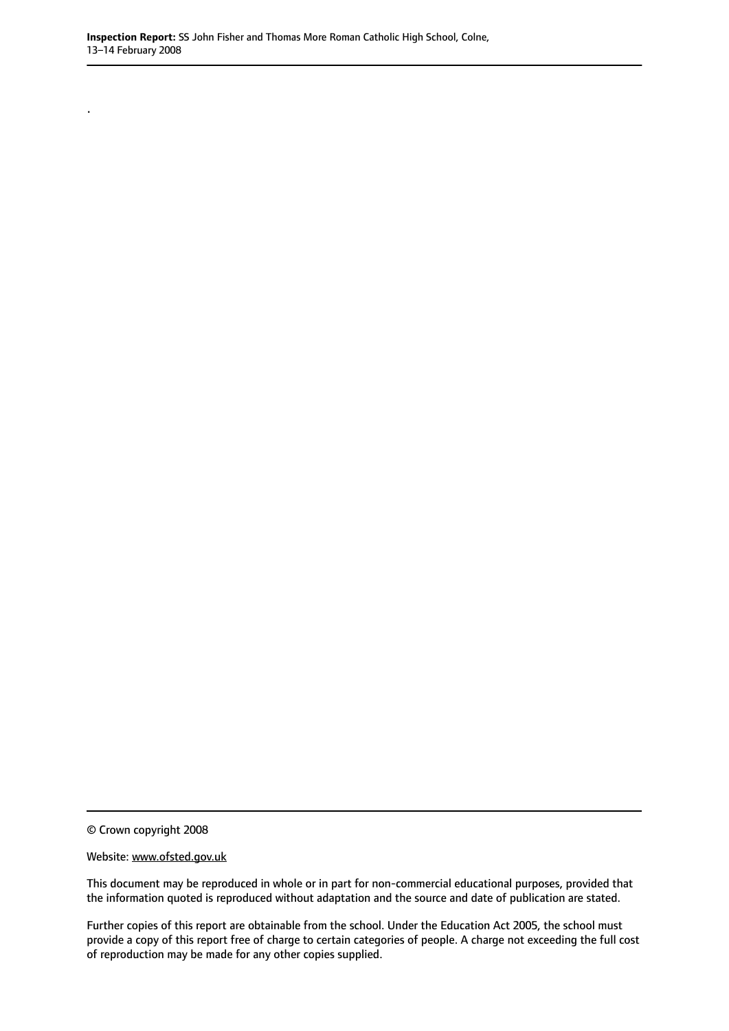© Crown copyright 2008

.

Website: www.ofsted.gov.uk

This document may be reproduced in whole or in part for non-commercial educational purposes, provided that the information quoted is reproduced without adaptation and the source and date of publication are stated.

Further copies of this report are obtainable from the school. Under the Education Act 2005, the school must provide a copy of this report free of charge to certain categories of people. A charge not exceeding the full cost of reproduction may be made for any other copies supplied.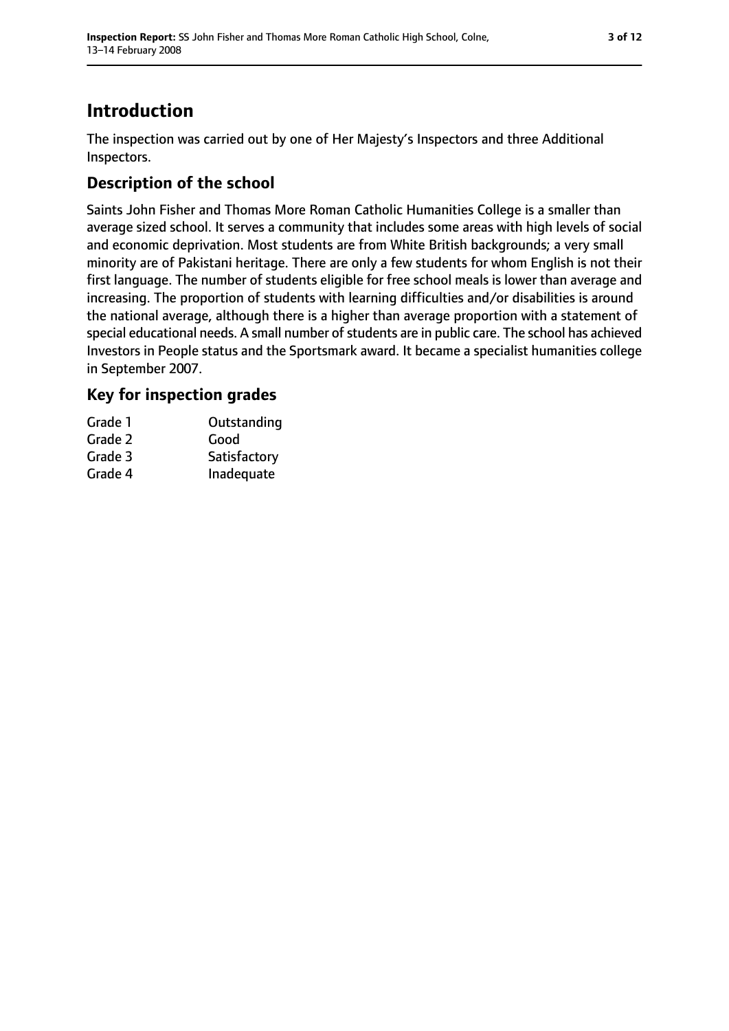## **Introduction**

The inspection was carried out by one of Her Majesty's Inspectors and three Additional Inspectors.

## **Description of the school**

Saints John Fisher and Thomas More Roman Catholic Humanities College is a smaller than average sized school. It serves a community that includes some areas with high levels of social and economic deprivation. Most students are from White British backgrounds; a very small minority are of Pakistani heritage. There are only a few students for whom English is not their first language. The number of students eligible for free school meals is lower than average and increasing. The proportion of students with learning difficulties and/or disabilities is around the national average, although there is a higher than average proportion with a statement of special educational needs. A small number of students are in public care. The school has achieved Investors in People status and the Sportsmark award. It became a specialist humanities college in September 2007.

#### **Key for inspection grades**

| Grade 1 | Outstanding  |
|---------|--------------|
| Grade 2 | Good         |
| Grade 3 | Satisfactory |
| Grade 4 | Inadequate   |
|         |              |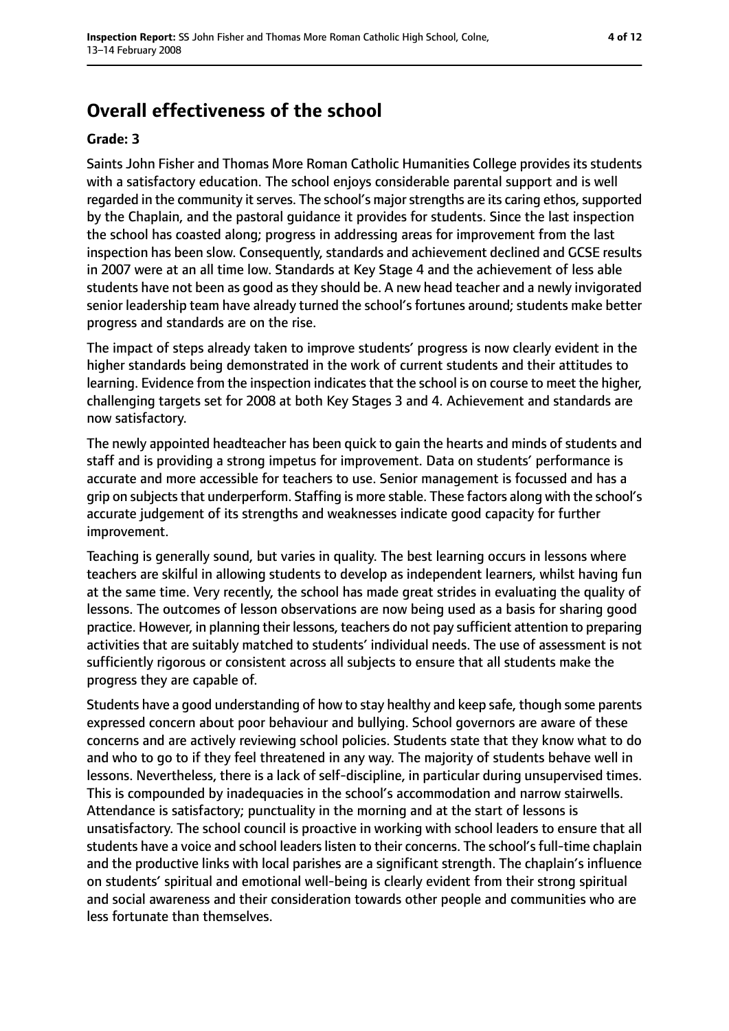## **Overall effectiveness of the school**

#### **Grade: 3**

Saints John Fisher and Thomas More Roman Catholic Humanities College provides its students with a satisfactory education. The school enjoys considerable parental support and is well regarded in the community it serves. The school's major strengths are its caring ethos, supported by the Chaplain, and the pastoral guidance it provides for students. Since the last inspection the school has coasted along; progress in addressing areas for improvement from the last inspection has been slow. Consequently, standards and achievement declined and GCSE results in 2007 were at an all time low. Standards at Key Stage 4 and the achievement of less able students have not been as good as they should be. A new head teacher and a newly invigorated senior leadership team have already turned the school's fortunes around; students make better progress and standards are on the rise.

The impact of steps already taken to improve students' progress is now clearly evident in the higher standards being demonstrated in the work of current students and their attitudes to learning. Evidence from the inspection indicates that the school is on course to meet the higher, challenging targets set for 2008 at both Key Stages 3 and 4. Achievement and standards are now satisfactory.

The newly appointed headteacher has been quick to gain the hearts and minds of students and staff and is providing a strong impetus for improvement. Data on students' performance is accurate and more accessible for teachers to use. Senior management is focussed and has a grip on subjects that underperform. Staffing is more stable. These factors along with the school's accurate judgement of its strengths and weaknesses indicate good capacity for further improvement.

Teaching is generally sound, but varies in quality. The best learning occurs in lessons where teachers are skilful in allowing students to develop as independent learners, whilst having fun at the same time. Very recently, the school has made great strides in evaluating the quality of lessons. The outcomes of lesson observations are now being used as a basis for sharing good practice. However, in planning their lessons, teachers do not pay sufficient attention to preparing activities that are suitably matched to students' individual needs. The use of assessment is not sufficiently rigorous or consistent across all subjects to ensure that all students make the progress they are capable of.

Students have a good understanding of how to stay healthy and keep safe, though some parents expressed concern about poor behaviour and bullying. School governors are aware of these concerns and are actively reviewing school policies. Students state that they know what to do and who to go to if they feel threatened in any way. The majority of students behave well in lessons. Nevertheless, there is a lack of self-discipline, in particular during unsupervised times. This is compounded by inadequacies in the school's accommodation and narrow stairwells. Attendance is satisfactory; punctuality in the morning and at the start of lessons is unsatisfactory. The school council is proactive in working with school leaders to ensure that all students have a voice and school leaders listen to their concerns. The school's full-time chaplain and the productive links with local parishes are a significant strength. The chaplain's influence on students' spiritual and emotional well-being is clearly evident from their strong spiritual and social awareness and their consideration towards other people and communities who are less fortunate than themselves.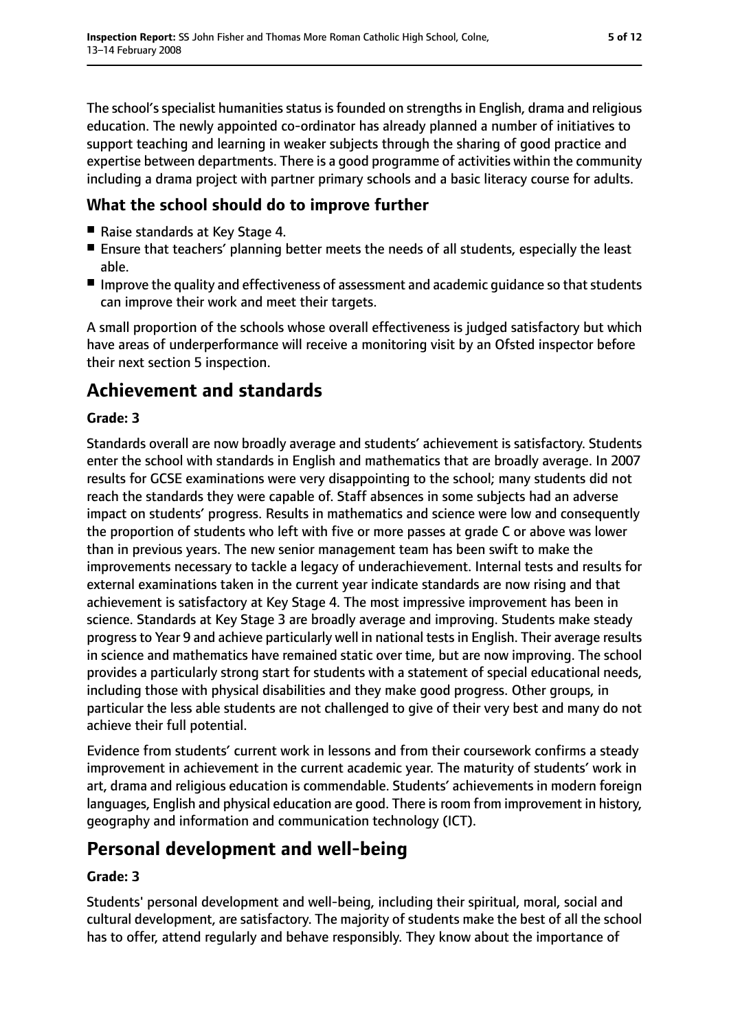The school's specialist humanities status is founded on strengths in English, drama and religious education. The newly appointed co-ordinator has already planned a number of initiatives to support teaching and learning in weaker subjects through the sharing of good practice and expertise between departments. There is a good programme of activities within the community including a drama project with partner primary schools and a basic literacy course for adults.

#### **What the school should do to improve further**

- Raise standards at Key Stage 4.
- Ensure that teachers' planning better meets the needs of all students, especially the least able.
- Improve the quality and effectiveness of assessment and academic quidance so that students can improve their work and meet their targets.

A small proportion of the schools whose overall effectiveness is judged satisfactory but which have areas of underperformance will receive a monitoring visit by an Ofsted inspector before their next section 5 inspection.

## **Achievement and standards**

#### **Grade: 3**

Standards overall are now broadly average and students' achievement is satisfactory. Students enter the school with standards in English and mathematics that are broadly average. In 2007 results for GCSE examinations were very disappointing to the school; many students did not reach the standards they were capable of. Staff absences in some subjects had an adverse impact on students' progress. Results in mathematics and science were low and consequently the proportion of students who left with five or more passes at grade C or above was lower than in previous years. The new senior management team has been swift to make the improvements necessary to tackle a legacy of underachievement. Internal tests and results for external examinations taken in the current year indicate standards are now rising and that achievement is satisfactory at Key Stage 4. The most impressive improvement has been in science. Standards at Key Stage 3 are broadly average and improving. Students make steady progress to Year 9 and achieve particularly well in national tests in English. Their average results in science and mathematics have remained static over time, but are now improving. The school provides a particularly strong start for students with a statement of special educational needs, including those with physical disabilities and they make good progress. Other groups, in particular the less able students are not challenged to give of their very best and many do not achieve their full potential.

Evidence from students' current work in lessons and from their coursework confirms a steady improvement in achievement in the current academic year. The maturity of students' work in art, drama and religious education is commendable. Students' achievements in modern foreign languages, English and physical education are good. There is room from improvement in history, geography and information and communication technology (ICT).

## **Personal development and well-being**

#### **Grade: 3**

Students' personal development and well-being, including their spiritual, moral, social and cultural development, are satisfactory. The majority of students make the best of all the school has to offer, attend regularly and behave responsibly. They know about the importance of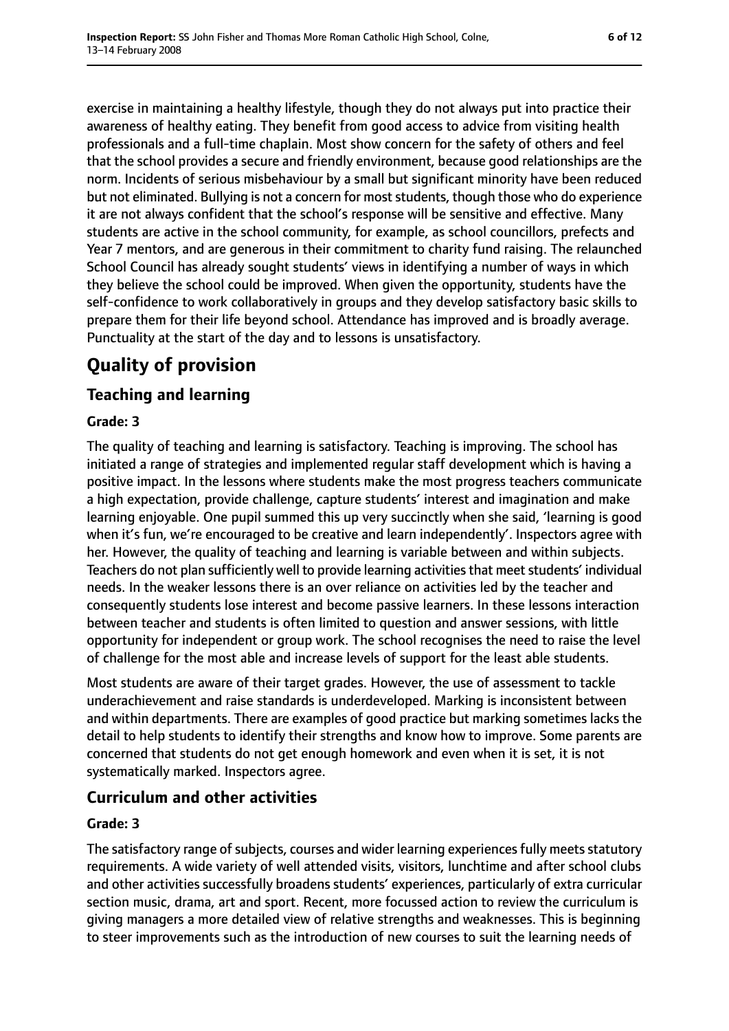exercise in maintaining a healthy lifestyle, though they do not always put into practice their awareness of healthy eating. They benefit from good access to advice from visiting health professionals and a full-time chaplain. Most show concern for the safety of others and feel that the school provides a secure and friendly environment, because good relationships are the norm. Incidents of serious misbehaviour by a small but significant minority have been reduced but not eliminated. Bullying is not a concern for most students, though those who do experience it are not always confident that the school's response will be sensitive and effective. Many students are active in the school community, for example, as school councillors, prefects and Year 7 mentors, and are generous in their commitment to charity fund raising. The relaunched School Council has already sought students' views in identifying a number of ways in which they believe the school could be improved. When given the opportunity, students have the self-confidence to work collaboratively in groups and they develop satisfactory basic skills to prepare them for their life beyond school. Attendance has improved and is broadly average. Punctuality at the start of the day and to lessons is unsatisfactory.

## **Quality of provision**

### **Teaching and learning**

#### **Grade: 3**

The quality of teaching and learning is satisfactory. Teaching is improving. The school has initiated a range of strategies and implemented regular staff development which is having a positive impact. In the lessons where students make the most progress teachers communicate a high expectation, provide challenge, capture students' interest and imagination and make learning enjoyable. One pupil summed this up very succinctly when she said, 'learning is good when it's fun, we're encouraged to be creative and learn independently'. Inspectors agree with her. However, the quality of teaching and learning is variable between and within subjects. Teachers do not plan sufficiently well to provide learning activities that meet students' individual needs. In the weaker lessons there is an over reliance on activities led by the teacher and consequently students lose interest and become passive learners. In these lessons interaction between teacher and students is often limited to question and answer sessions, with little opportunity for independent or group work. The school recognises the need to raise the level of challenge for the most able and increase levels of support for the least able students.

Most students are aware of their target grades. However, the use of assessment to tackle underachievement and raise standards is underdeveloped. Marking is inconsistent between and within departments. There are examples of good practice but marking sometimes lacks the detail to help students to identify their strengths and know how to improve. Some parents are concerned that students do not get enough homework and even when it is set, it is not systematically marked. Inspectors agree.

### **Curriculum and other activities**

#### **Grade: 3**

The satisfactory range of subjects, courses and wider learning experiences fully meets statutory requirements. A wide variety of well attended visits, visitors, lunchtime and after school clubs and other activities successfully broadens students' experiences, particularly of extra curricular section music, drama, art and sport. Recent, more focussed action to review the curriculum is giving managers a more detailed view of relative strengths and weaknesses. This is beginning to steer improvements such as the introduction of new courses to suit the learning needs of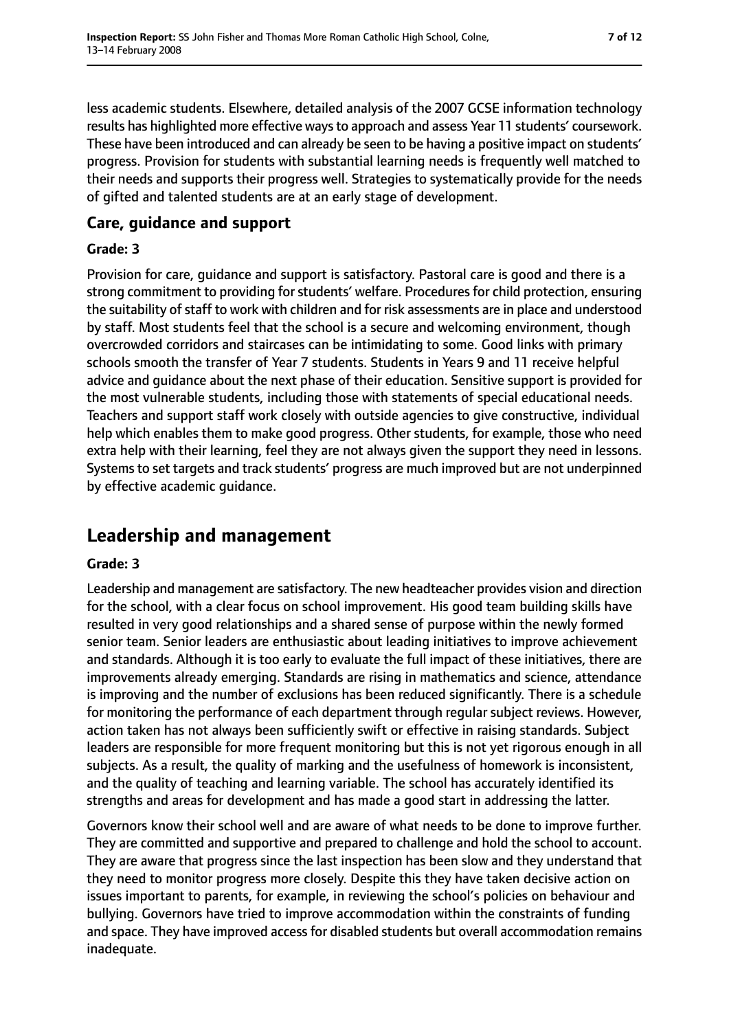less academic students. Elsewhere, detailed analysis of the 2007 GCSE information technology results has highlighted more effective ways to approach and assess Year 11 students' coursework. These have been introduced and can already be seen to be having a positive impact on students' progress. Provision for students with substantial learning needs is frequently well matched to their needs and supports their progress well. Strategies to systematically provide for the needs of gifted and talented students are at an early stage of development.

#### **Care, guidance and support**

#### **Grade: 3**

Provision for care, guidance and support is satisfactory. Pastoral care is good and there is a strong commitment to providing for students' welfare. Procedures for child protection, ensuring the suitability of staff to work with children and for risk assessments are in place and understood by staff. Most students feel that the school is a secure and welcoming environment, though overcrowded corridors and staircases can be intimidating to some. Good links with primary schools smooth the transfer of Year 7 students. Students in Years 9 and 11 receive helpful advice and guidance about the next phase of their education. Sensitive support is provided for the most vulnerable students, including those with statements of special educational needs. Teachers and support staff work closely with outside agencies to give constructive, individual help which enables them to make good progress. Other students, for example, those who need extra help with their learning, feel they are not always given the support they need in lessons. Systems to set targets and track students' progress are much improved but are not underpinned by effective academic guidance.

## **Leadership and management**

#### **Grade: 3**

Leadership and management are satisfactory. The new headteacher provides vision and direction for the school, with a clear focus on school improvement. His good team building skills have resulted in very good relationships and a shared sense of purpose within the newly formed senior team. Senior leaders are enthusiastic about leading initiatives to improve achievement and standards. Although it is too early to evaluate the full impact of these initiatives, there are improvements already emerging. Standards are rising in mathematics and science, attendance is improving and the number of exclusions has been reduced significantly. There is a schedule for monitoring the performance of each department through regular subject reviews. However, action taken has not always been sufficiently swift or effective in raising standards. Subject leaders are responsible for more frequent monitoring but this is not yet rigorous enough in all subjects. As a result, the quality of marking and the usefulness of homework is inconsistent, and the quality of teaching and learning variable. The school has accurately identified its strengths and areas for development and has made a good start in addressing the latter.

Governors know their school well and are aware of what needs to be done to improve further. They are committed and supportive and prepared to challenge and hold the school to account. They are aware that progress since the last inspection has been slow and they understand that they need to monitor progress more closely. Despite this they have taken decisive action on issues important to parents, for example, in reviewing the school's policies on behaviour and bullying. Governors have tried to improve accommodation within the constraints of funding and space. They have improved access for disabled students but overall accommodation remains inadequate.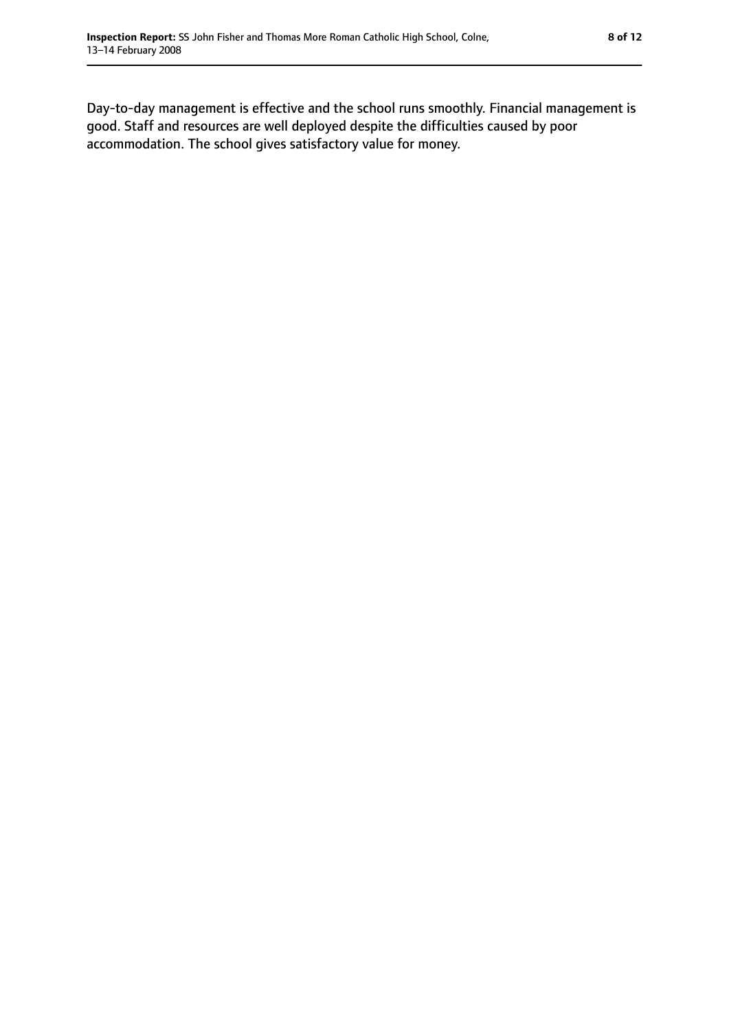Day-to-day management is effective and the school runs smoothly. Financial management is good. Staff and resources are well deployed despite the difficulties caused by poor accommodation. The school gives satisfactory value for money.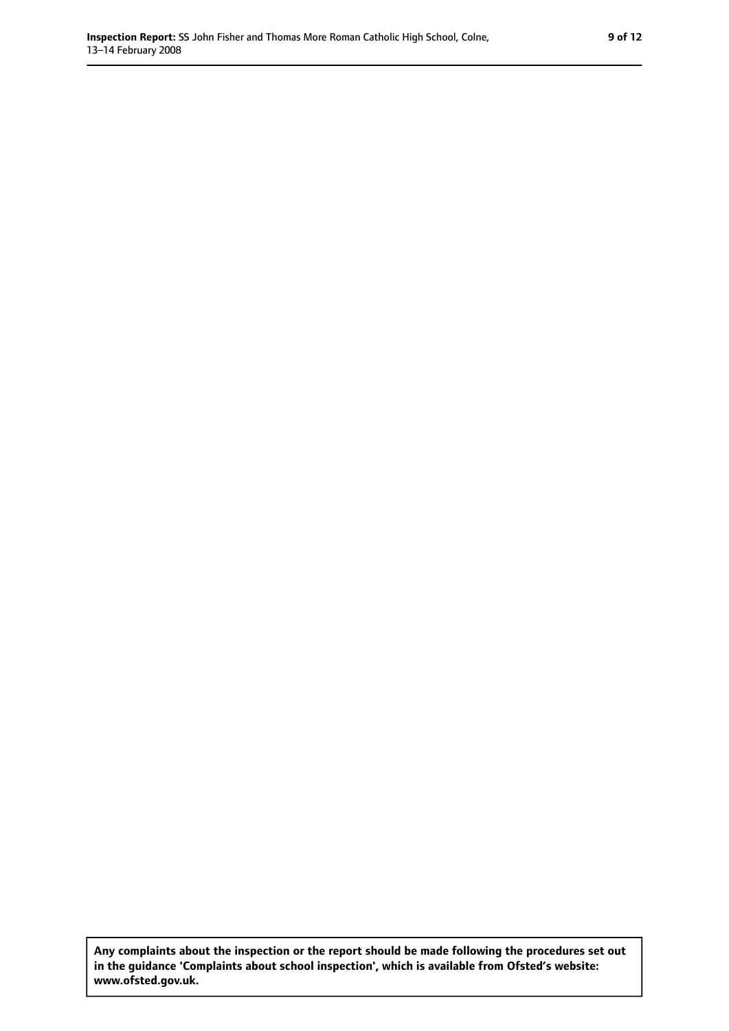**Any complaints about the inspection or the report should be made following the procedures set out in the guidance 'Complaints about school inspection', which is available from Ofsted's website: www.ofsted.gov.uk.**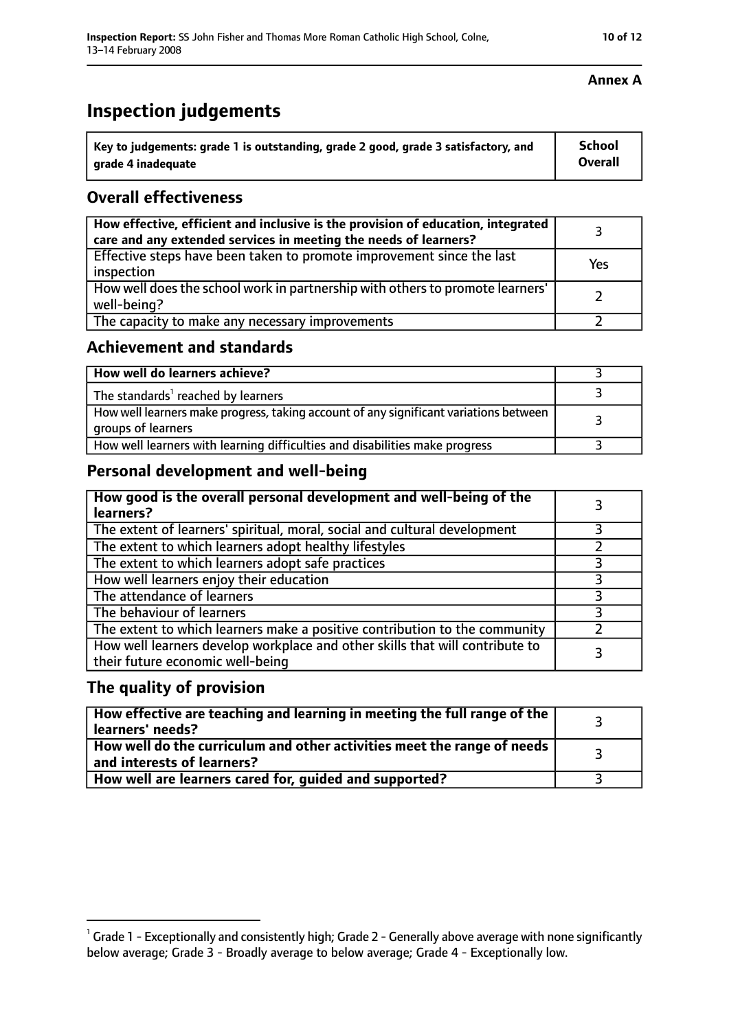| $^{\cdot}$ Key to judgements: grade 1 is outstanding, grade 2 good, grade 3 satisfactory, and | School  |
|-----------------------------------------------------------------------------------------------|---------|
| arade 4 inadequate                                                                            | Overall |

#### **Overall effectiveness**

| How effective, efficient and inclusive is the provision of education, integrated<br>care and any extended services in meeting the needs of learners? |     |
|------------------------------------------------------------------------------------------------------------------------------------------------------|-----|
| Effective steps have been taken to promote improvement since the last<br>inspection                                                                  | Yes |
| How well does the school work in partnership with others to promote learners'<br>well-being?                                                         |     |
| The capacity to make any necessary improvements                                                                                                      |     |

#### **Achievement and standards**

| How well do learners achieve?                                                                               |  |
|-------------------------------------------------------------------------------------------------------------|--|
| The standards <sup>1</sup> reached by learners                                                              |  |
| How well learners make progress, taking account of any significant variations between<br>groups of learners |  |
| How well learners with learning difficulties and disabilities make progress                                 |  |

### **Personal development and well-being**

| How good is the overall personal development and well-being of the<br>learners?                                  |  |
|------------------------------------------------------------------------------------------------------------------|--|
| The extent of learners' spiritual, moral, social and cultural development                                        |  |
| The extent to which learners adopt healthy lifestyles                                                            |  |
| The extent to which learners adopt safe practices                                                                |  |
| How well learners enjoy their education                                                                          |  |
| The attendance of learners                                                                                       |  |
| The behaviour of learners                                                                                        |  |
| The extent to which learners make a positive contribution to the community                                       |  |
| How well learners develop workplace and other skills that will contribute to<br>their future economic well-being |  |

#### **The quality of provision**

| How effective are teaching and learning in meeting the full range of the<br>learners' needs?                     |  |
|------------------------------------------------------------------------------------------------------------------|--|
| How well do the curriculum and other activities meet the range of needs<br>$^{\rm t}$ and interests of learners? |  |
| How well are learners cared for, guided and supported?                                                           |  |

#### **Annex A**

 $^1$  Grade 1 - Exceptionally and consistently high; Grade 2 - Generally above average with none significantly below average; Grade 3 - Broadly average to below average; Grade 4 - Exceptionally low.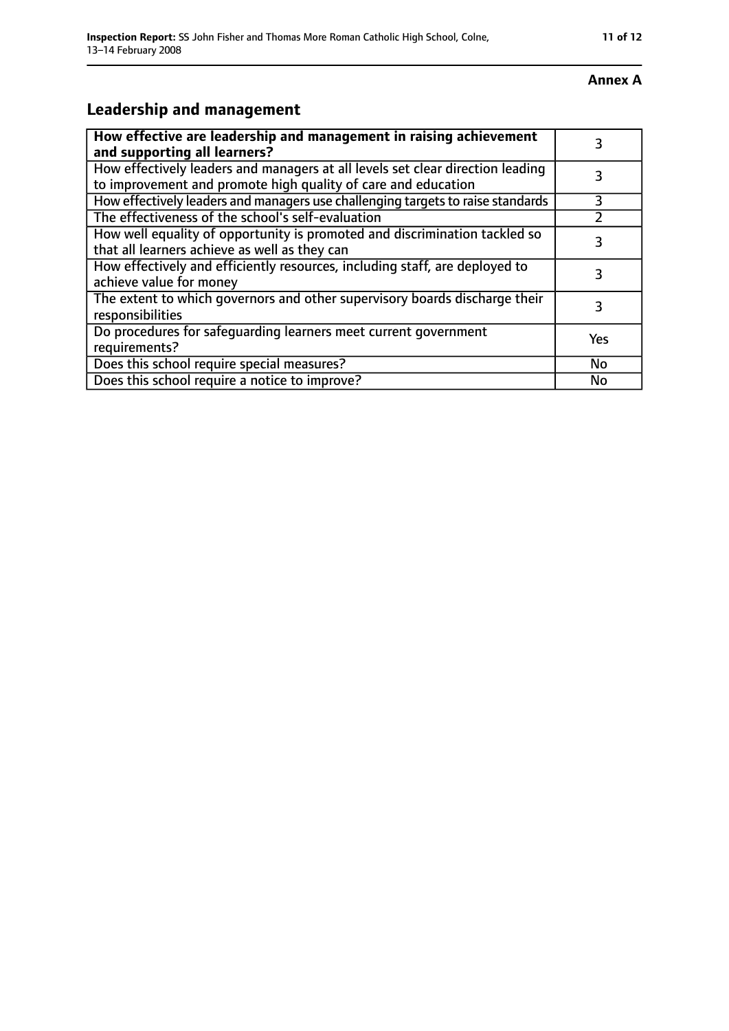## **Leadership and management**

| How effective are leadership and management in raising achievement<br>and supporting all learners?                                              |           |
|-------------------------------------------------------------------------------------------------------------------------------------------------|-----------|
| How effectively leaders and managers at all levels set clear direction leading<br>to improvement and promote high quality of care and education |           |
| How effectively leaders and managers use challenging targets to raise standards                                                                 | 3         |
| The effectiveness of the school's self-evaluation                                                                                               |           |
| How well equality of opportunity is promoted and discrimination tackled so<br>that all learners achieve as well as they can                     | 3         |
| How effectively and efficiently resources, including staff, are deployed to<br>achieve value for money                                          | 3         |
| The extent to which governors and other supervisory boards discharge their<br>responsibilities                                                  |           |
| Do procedures for safequarding learners meet current government<br>requirements?                                                                | Yes       |
| Does this school require special measures?                                                                                                      | <b>No</b> |
| Does this school require a notice to improve?                                                                                                   | No        |